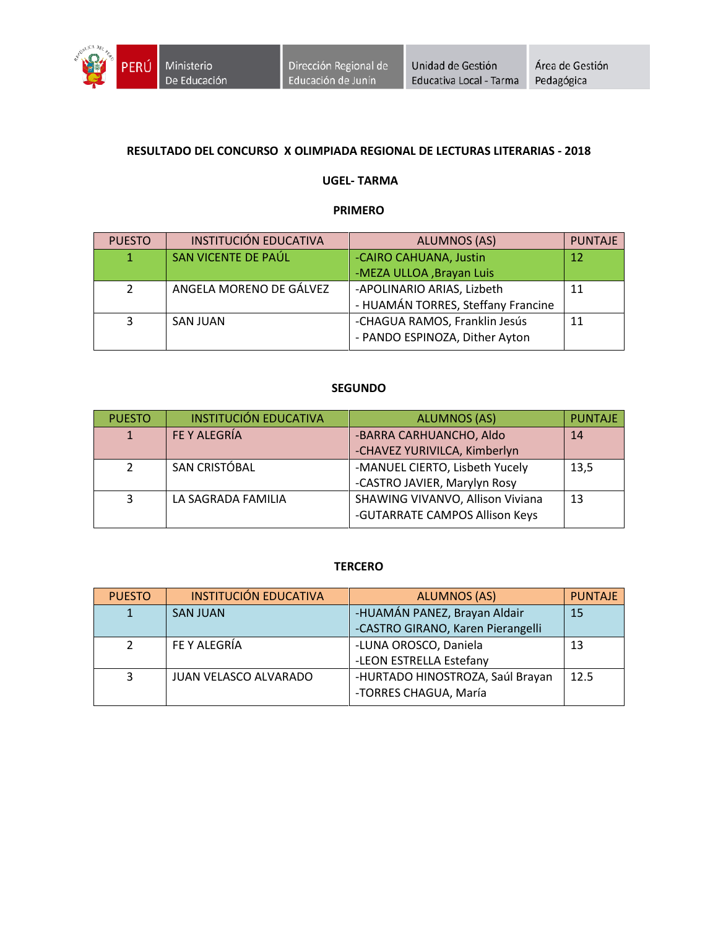

## **RESULTADO DEL CONCURSO X OLIMPIADA REGIONAL DE LECTURAS LITERARIAS - 2018**

#### **UGEL- TARMA**

#### **PRIMERO**

| <b>PUESTO</b>  | <b>INSTITUCIÓN EDUCATIVA</b> | <b>ALUMNOS (AS)</b>                | <b>PUNTAJE</b> |
|----------------|------------------------------|------------------------------------|----------------|
|                | SAN VICENTE DE PAÚL          | -CAIRO CAHUANA, Justin             | 12             |
|                |                              | -MEZA ULLOA, Brayan Luis           |                |
| $\overline{2}$ | ANGELA MORENO DE GÁLVEZ      | -APOLINARIO ARIAS, Lizbeth         | 11             |
|                |                              | - HUAMÁN TORRES, Steffany Francine |                |
| 3              | <b>SAN JUAN</b>              | -CHAGUA RAMOS, Franklin Jesús      | 11             |
|                |                              | - PANDO ESPINOZA, Dither Ayton     |                |

#### **SEGUNDO**

| <b>PUESTO</b> | <b>INSTITUCIÓN EDUCATIVA</b> | <b>ALUMNOS (AS)</b>              | <b>PUNTAJE</b> |
|---------------|------------------------------|----------------------------------|----------------|
|               | FE Y ALEGRÍA                 | -BARRA CARHUANCHO, Aldo          | 14             |
|               |                              | -CHAVEZ YURIVILCA, Kimberlyn     |                |
| $\mathcal{P}$ | SAN CRISTÓBAL                | -MANUEL CIERTO, Lisbeth Yucely   | 13,5           |
|               |                              | -CASTRO JAVIER, Marylyn Rosy     |                |
| 3             | LA SAGRADA FAMILIA           | SHAWING VIVANVO, Allison Viviana | 13             |
|               |                              | -GUTARRATE CAMPOS Allison Keys   |                |

#### **TERCERO**

| <b>PUESTO</b> | <b>INSTITUCIÓN EDUCATIVA</b> | <b>ALUMNOS (AS)</b>               | <b>PUNTAJE</b> |
|---------------|------------------------------|-----------------------------------|----------------|
|               | <b>SAN JUAN</b>              | -HUAMÁN PANEZ, Brayan Aldair      | 15             |
|               |                              | -CASTRO GIRANO, Karen Pierangelli |                |
|               | FE Y ALEGRÍA                 | -LUNA OROSCO, Daniela             | 13             |
|               |                              | -LEON ESTRELLA Estefany           |                |
| 3             | JUAN VELASCO ALVARADO        | -HURTADO HINOSTROZA, Saúl Brayan  | 12.5           |
|               |                              | -TORRES CHAGUA, María             |                |